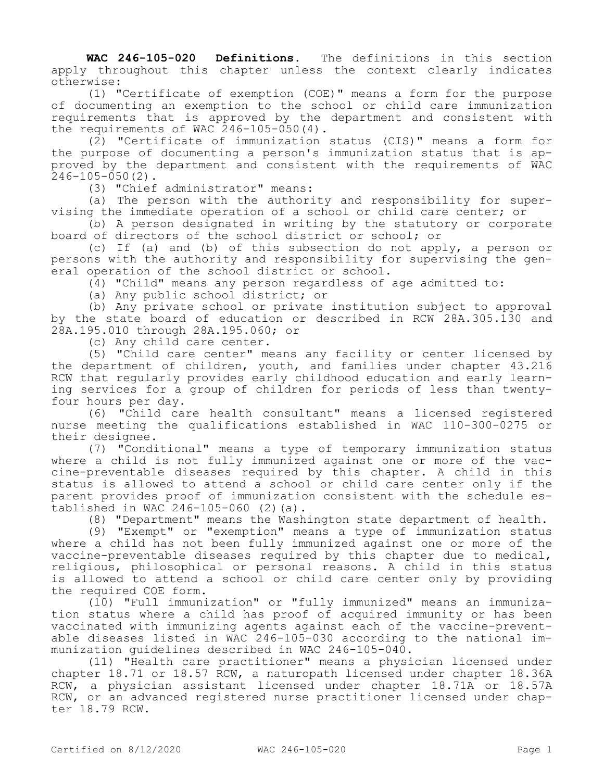**WAC 246-105-020 Definitions.** The definitions in this section apply throughout this chapter unless the context clearly indicates otherwise:

(1) "Certificate of exemption (COE)" means a form for the purpose of documenting an exemption to the school or child care immunization requirements that is approved by the department and consistent with the requirements of WAC 246-105-050(4).

(2) "Certificate of immunization status (CIS)" means a form for the purpose of documenting a person's immunization status that is approved by the department and consistent with the requirements of WAC  $246 - 105 - 050(2)$ .

(3) "Chief administrator" means:

(a) The person with the authority and responsibility for supervising the immediate operation of a school or child care center; or

(b) A person designated in writing by the statutory or corporate board of directors of the school district or school; or

(c) If (a) and (b) of this subsection do not apply, a person or persons with the authority and responsibility for supervising the general operation of the school district or school.

(4) "Child" means any person regardless of age admitted to:

(a) Any public school district; or

(b) Any private school or private institution subject to approval by the state board of education or described in RCW 28A.305.130 and 28A.195.010 through 28A.195.060; or

(c) Any child care center.

(5) "Child care center" means any facility or center licensed by the department of children, youth, and families under chapter 43.216 RCW that regularly provides early childhood education and early learning services for a group of children for periods of less than twentyfour hours per day.

(6) "Child care health consultant" means a licensed registered nurse meeting the qualifications established in WAC 110-300-0275 or their designee.

(7) "Conditional" means a type of temporary immunization status where a child is not fully immunized against one or more of the vaccine-preventable diseases required by this chapter. A child in this status is allowed to attend a school or child care center only if the parent provides proof of immunization consistent with the schedule established in WAC 246-105-060 (2)(a).

(8) "Department" means the Washington state department of health.

(9) "Exempt" or "exemption" means a type of immunization status where a child has not been fully immunized against one or more of the vaccine-preventable diseases required by this chapter due to medical, religious, philosophical or personal reasons. A child in this status is allowed to attend a school or child care center only by providing the required COE form.

(10) "Full immunization" or "fully immunized" means an immunization status where a child has proof of acquired immunity or has been vaccinated with immunizing agents against each of the vaccine-preventable diseases listed in WAC 246-105-030 according to the national immunization guidelines described in WAC 246-105-040.

(11) "Health care practitioner" means a physician licensed under chapter 18.71 or 18.57 RCW, a naturopath licensed under chapter 18.36A RCW, a physician assistant licensed under chapter 18.71A or 18.57A RCW, or an advanced registered nurse practitioner licensed under chapter 18.79 RCW.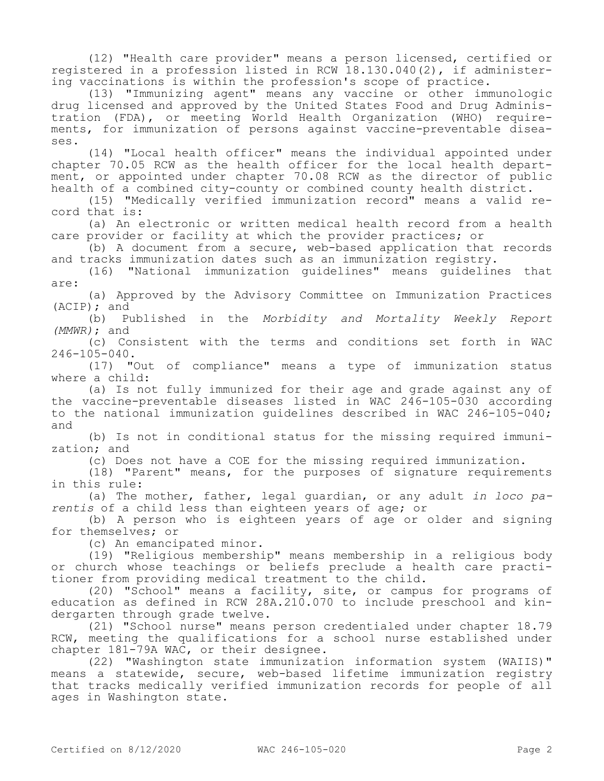(12) "Health care provider" means a person licensed, certified or registered in a profession listed in RCW 18.130.040(2), if administering vaccinations is within the profession's scope of practice.

(13) "Immunizing agent" means any vaccine or other immunologic drug licensed and approved by the United States Food and Drug Administration (FDA), or meeting World Health Organization (WHO) requirements, for immunization of persons against vaccine-preventable diseases.

(14) "Local health officer" means the individual appointed under chapter 70.05 RCW as the health officer for the local health department, or appointed under chapter 70.08 RCW as the director of public health of a combined city-county or combined county health district.

(15) "Medically verified immunization record" means a valid record that is:

(a) An electronic or written medical health record from a health care provider or facility at which the provider practices; or

(b) A document from a secure, web-based application that records and tracks immunization dates such as an immunization registry.

(16) "National immunization guidelines" means guidelines that are:

(a) Approved by the Advisory Committee on Immunization Practices (ACIP); and

(b) Published in the *Morbidity and Mortality Weekly Report (MMWR)*; and

(c) Consistent with the terms and conditions set forth in WAC  $246 - 105 - 040$ .

(17) "Out of compliance" means a type of immunization status where a child:

(a) Is not fully immunized for their age and grade against any of the vaccine-preventable diseases listed in WAC  $246-105-030$  according to the national immunization guidelines described in WAC 246-105-040; and

(b) Is not in conditional status for the missing required immunization; and

(c) Does not have a COE for the missing required immunization.

(18) "Parent" means, for the purposes of signature requirements in this rule:

(a) The mother, father, legal guardian, or any adult *in loco parentis* of a child less than eighteen years of age; or

(b) A person who is eighteen years of age or older and signing for themselves; or

(c) An emancipated minor.

(19) "Religious membership" means membership in a religious body or church whose teachings or beliefs preclude a health care practitioner from providing medical treatment to the child.

(20) "School" means a facility, site, or campus for programs of education as defined in RCW 28A.210.070 to include preschool and kindergarten through grade twelve.

(21) "School nurse" means person credentialed under chapter 18.79 RCW, meeting the qualifications for a school nurse established under chapter 181-79A WAC, or their designee.

(22) "Washington state immunization information system (WAIIS)" means a statewide, secure, web-based lifetime immunization registry that tracks medically verified immunization records for people of all ages in Washington state.